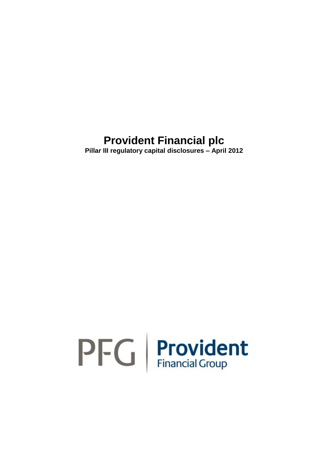**Pillar III regulatory capital disclosures – April 2012**

# $PFG$  Provident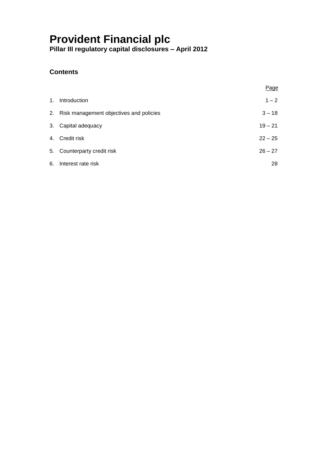**Pillar III regulatory capital disclosures – April 2012**

## **Contents**

|                                            | Page      |
|--------------------------------------------|-----------|
| 1. Introduction                            | $1 - 2$   |
| 2. Risk management objectives and policies | $3 - 18$  |
| 3. Capital adequacy                        | $19 - 21$ |
| 4. Credit risk                             | $22 - 25$ |
| 5. Counterparty credit risk                | $26 - 27$ |
| 6. Interest rate risk                      | 28        |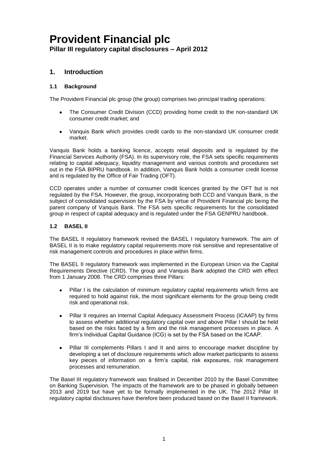#### **1. Introduction**

#### **1.1 Background**

The Provident Financial plc group (the group) comprises two principal trading operations:

- The Consumer Credit Division (CCD) providing home credit to the non-standard UK consumer credit market; and
- Vanquis Bank which provides credit cards to the non-standard UK consumer credit market.

Vanquis Bank holds a banking licence, accepts retail deposits and is regulated by the Financial Services Authority (FSA). In its supervisory role, the FSA sets specific requirements relating to capital adequacy, liquidity management and various controls and procedures set out in the FSA BIPRU handbook. In addition, Vanquis Bank holds a consumer credit license and is regulated by the Office of Fair Trading (OFT).

CCD operates under a number of consumer credit licences granted by the OFT but is not regulated by the FSA. However, the group, incorporating both CCD and Vanquis Bank, is the subject of consolidated supervision by the FSA by virtue of Provident Financial plc being the parent company of Vanquis Bank. The FSA sets specific requirements for the consolidated group in respect of capital adequacy and is regulated under the FSA GENPRU handbook.

#### **1.2 BASEL II**

The BASEL II regulatory framework revised the BASEL I regulatory framework. The aim of BASEL II is to make regulatory capital requirements more risk sensitive and representative of risk management controls and procedures in place within firms.

The BASEL II regulatory framework was implemented in the European Union via the Capital Requirements Directive (CRD). The group and Vanquis Bank adopted the CRD with effect from 1 January 2008. The CRD comprises three Pillars:

- Pillar I is the calculation of minimum regulatory capital requirements which firms are required to hold against risk, the most significant elements for the group being credit risk and operational risk.
- Pillar II requires an Internal Capital Adequacy Assessment Process (ICAAP) by firms to assess whether additional regulatory capital over and above Pillar I should be held based on the risks faced by a firm and the risk management processes in place. A firm's Individual Capital Guidance (ICG) is set by the FSA based on the ICAAP.
- Pillar III complements Pillars I and II and aims to encourage market discipline by developing a set of disclosure requirements which allow market participants to assess key pieces of information on a firm's capital, risk exposures, risk management processes and remuneration.

The Basel III regulatory framework was finalised in December 2010 by the Basel Committee on Banking Supervision. The impacts of the framework are to be phased in globally between 2013 and 2019 but have yet to be formally implemented in the UK. The 2012 Pillar III regulatory capital disclosures have therefore been produced based on the Basel II framework.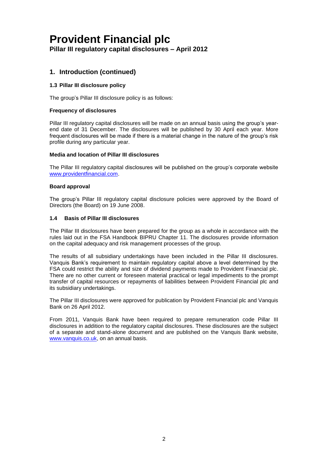**Pillar III regulatory capital disclosures – April 2012**

#### **1. Introduction (continued)**

#### **1.3 Pillar III disclosure policy**

The group's Pillar III disclosure policy is as follows:

#### **Frequency of disclosures**

Pillar III regulatory capital disclosures will be made on an annual basis using the group's yearend date of 31 December. The disclosures will be published by 30 April each year. More frequent disclosures will be made if there is a material change in the nature of the group's risk profile during any particular year.

#### **Media and location of Pillar III disclosures**

The Pillar III regulatory capital disclosures will be published on the group's corporate website [www.providentfinancial.com.](http://www.providentfinancial.com/)

#### **Board approval**

The group's Pillar III regulatory capital disclosure policies were approved by the Board of Directors (the Board) on 19 June 2008.

#### **1.4 Basis of Pillar III disclosures**

The Pillar III disclosures have been prepared for the group as a whole in accordance with the rules laid out in the FSA Handbook BIPRU Chapter 11. The disclosures provide information on the capital adequacy and risk management processes of the group.

The results of all subsidiary undertakings have been included in the Pillar III disclosures. Vanquis Bank's requirement to maintain regulatory capital above a level determined by the FSA could restrict the ability and size of dividend payments made to Provident Financial plc. There are no other current or foreseen material practical or legal impediments to the prompt transfer of capital resources or repayments of liabilities between Provident Financial plc and its subsidiary undertakings.

The Pillar III disclosures were approved for publication by Provident Financial plc and Vanquis Bank on 26 April 2012.

From 2011, Vanquis Bank have been required to prepare remuneration code Pillar III disclosures in addition to the regulatory capital disclosures. These disclosures are the subject of a separate and stand-alone document and are published on the Vanquis Bank website, [www.vanquis.co.uk,](http://www.vanquis.co.uk/) on an annual basis.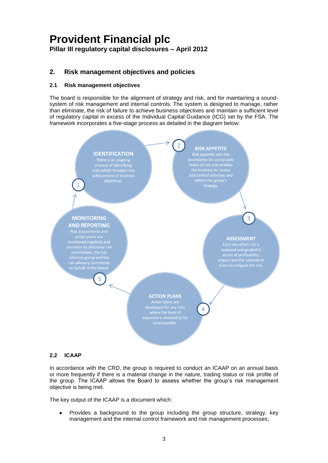#### **2. Risk management objectives and policies**

#### **2.1 Risk management objectives**

The board is responsible for the alignment of strategy and risk, and for maintaining a soundsystem of risk management and internal controls. The system is designed to manage, rather than eliminate, the risk of failure to achieve business objectives and maintain a sufficient level of regulatory capital in excess of the Individual Capital Guidance (ICG) set by the FSA. The framework incorporates a five-stage process as detailed in the diagram below:



#### **2.2 ICAAP**

In accordance with the CRD, the group is required to conduct an ICAAP on an annual basis or more frequently if there is a material change in the nature, trading status or risk profile of the group. The ICAAP allows the Board to assess whether the group's risk management objective is being met.

The key output of the ICAAP is a document which:

Provides a background to the group including the group structure, strategy, key management and the internal control framework and risk management processes;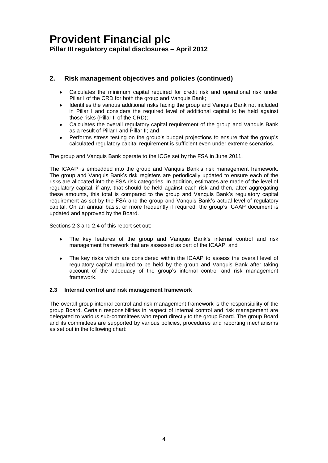#### **2. Risk management objectives and policies (continued)**

- $\bullet$ Calculates the minimum capital required for credit risk and operational risk under Pillar I of the CRD for both the group and Vanquis Bank;
- Identifies the various additional risks facing the group and Vanquis Bank not included in Pillar I and considers the required level of additional capital to be held against those risks (Pillar II of the CRD);
- Calculates the overall regulatory capital requirement of the group and Vanquis Bank  $\bullet$ as a result of Pillar I and Pillar II; and
- Performs stress testing on the group's budget projections to ensure that the group's calculated regulatory capital requirement is sufficient even under extreme scenarios.

The group and Vanquis Bank operate to the ICGs set by the FSA in June 2011.

The ICAAP is embedded into the group and Vanquis Bank's risk management framework. The group and Vanquis Bank's risk registers are periodically updated to ensure each of the risks are allocated into the FSA risk categories. In addition, estimates are made of the level of regulatory capital, if any, that should be held against each risk and then, after aggregating these amounts, this total is compared to the group and Vanquis Bank's regulatory capital requirement as set by the FSA and the group and Vanquis Bank's actual level of regulatory capital. On an annual basis, or more frequently if required, the group's ICAAP document is updated and approved by the Board.

Sections 2.3 and 2.4 of this report set out:

- The key features of the group and Vanquis Bank's internal control and risk management framework that are assessed as part of the ICAAP; and
- The key risks which are considered within the ICAAP to assess the overall level of  $\bullet$ regulatory capital required to be held by the group and Vanquis Bank after taking account of the adequacy of the group's internal control and risk management framework.

#### **2.3 Internal control and risk management framework**

The overall group internal control and risk management framework is the responsibility of the group Board. Certain responsibilities in respect of internal control and risk management are delegated to various sub-committees who report directly to the group Board. The group Board and its committees are supported by various policies, procedures and reporting mechanisms as set out in the following chart: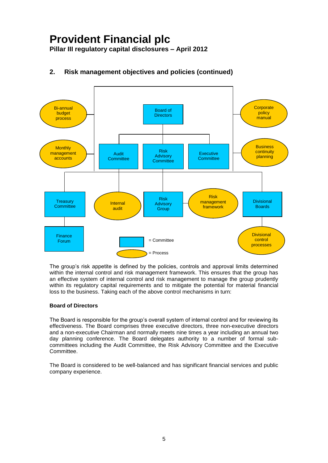**Pillar III regulatory capital disclosures – April 2012**



#### **2. Risk management objectives and policies (continued)**

The group's risk appetite is defined by the policies, controls and approval limits determined within the internal control and risk management framework. This ensures that the group has an effective system of internal control and risk management to manage the group prudently within its regulatory capital requirements and to mitigate the potential for material financial loss to the business. Taking each of the above control mechanisms in turn:

#### **Board of Directors**

The Board is responsible for the group's overall system of internal control and for reviewing its effectiveness. The Board comprises three executive directors, three non-executive directors and a non-executive Chairman and normally meets nine times a year including an annual two day planning conference. The Board delegates authority to a number of formal subcommittees including the Audit Committee, the Risk Advisory Committee and the Executive Committee.

The Board is considered to be well-balanced and has significant financial services and public company experience.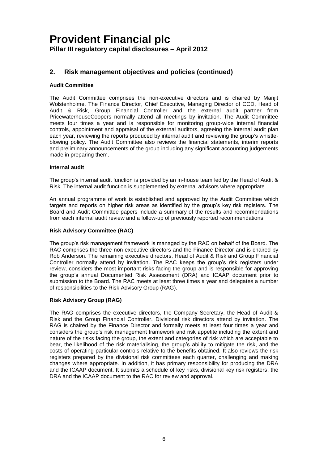#### **2. Risk management objectives and policies (continued)**

#### **Audit Committee**

The Audit Committee comprises the non-executive directors and is chaired by Manjit Wolstenholme. The Finance Director, Chief Executive, Managing Director of CCD, Head of Audit & Risk, Group Financial Controller and the external audit partner from PricewaterhouseCoopers normally attend all meetings by invitation. The Audit Committee meets four times a year and is responsible for monitoring group-wide internal financial controls, appointment and appraisal of the external auditors, agreeing the internal audit plan each year, reviewing the reports produced by internal audit and reviewing the group's whistleblowing policy. The Audit Committee also reviews the financial statements, interim reports and preliminary announcements of the group including any significant accounting judgements made in preparing them.

#### **Internal audit**

The group's internal audit function is provided by an in-house team led by the Head of Audit & Risk. The internal audit function is supplemented by external advisors where appropriate.

An annual programme of work is established and approved by the Audit Committee which targets and reports on higher risk areas as identified by the group's key risk registers. The Board and Audit Committee papers include a summary of the results and recommendations from each internal audit review and a follow-up of previously reported recommendations.

#### **Risk Advisory Committee (RAC)**

The group's risk management framework is managed by the RAC on behalf of the Board. The RAC comprises the three non-executive directors and the Finance Director and is chaired by Rob Anderson. The remaining executive directors, Head of Audit & Risk and Group Financial Controller normally attend by invitation. The RAC keeps the group's risk registers under review, considers the most important risks facing the group and is responsible for approving the group's annual Documented Risk Assessment (DRA) and ICAAP document prior to submission to the Board. The RAC meets at least three times a year and delegates a number of responsibilities to the Risk Advisory Group (RAG).

#### **Risk Advisory Group (RAG)**

The RAG comprises the executive directors, the Company Secretary, the Head of Audit & Risk and the Group Financial Controller. Divisional risk directors attend by invitation. The RAG is chaired by the Finance Director and formally meets at least four times a year and considers the group's risk management framework and risk appetite including the extent and nature of the risks facing the group, the extent and categories of risk which are acceptable to bear, the likelihood of the risk materialising, the group's ability to mitigate the risk, and the costs of operating particular controls relative to the benefits obtained. It also reviews the risk registers prepared by the divisional risk committees each quarter, challenging and making changes where appropriate. In addition, it has primary responsibility for producing the DRA and the ICAAP document. It submits a schedule of key risks, divisional key risk registers, the DRA and the ICAAP document to the RAC for review and approval.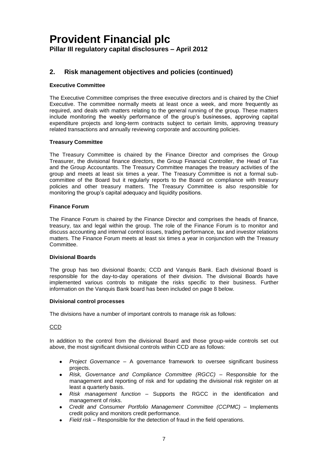#### **2. Risk management objectives and policies (continued)**

#### **Executive Committee**

The Executive Committee comprises the three executive directors and is chaired by the Chief Executive. The committee normally meets at least once a week, and more frequently as required, and deals with matters relating to the general running of the group. These matters include monitoring the weekly performance of the group's businesses, approving capital expenditure projects and long-term contracts subject to certain limits, approving treasury related transactions and annually reviewing corporate and accounting policies.

#### **Treasury Committee**

The Treasury Committee is chaired by the Finance Director and comprises the Group Treasurer, the divisional finance directors, the Group Financial Controller, the Head of Tax and the Group Accountants. The Treasury Committee manages the treasury activities of the group and meets at least six times a year. The Treasury Committee is not a formal subcommittee of the Board but it regularly reports to the Board on compliance with treasury policies and other treasury matters. The Treasury Committee is also responsible for monitoring the group's capital adequacy and liquidity positions.

#### **Finance Forum**

The Finance Forum is chaired by the Finance Director and comprises the heads of finance, treasury, tax and legal within the group. The role of the Finance Forum is to monitor and discuss accounting and internal control issues, trading performance, tax and investor relations matters. The Finance Forum meets at least six times a year in conjunction with the Treasury Committee.

#### **Divisional Boards**

The group has two divisional Boards; CCD and Vanquis Bank. Each divisional Board is responsible for the day-to-day operations of their division. The divisional Boards have implemented various controls to mitigate the risks specific to their business. Further information on the Vanquis Bank board has been included on page 8 below.

#### **Divisional control processes**

The divisions have a number of important controls to manage risk as follows:

CCD

In addition to the control from the divisional Board and those group-wide controls set out above, the most significant divisional controls within CCD are as follows:

- *Project Governance* A governance framework to oversee significant business projects.
- *Risk, Governance and Compliance Committee (RGCC)* Responsible for the management and reporting of risk and for updating the divisional risk register on at least a quarterly basis.
- *Risk management function*  Supports the RGCC in the identification and management of risks.
- *Credit and Consumer Portfolio Management Committee (CCPMC)* Implements credit policy and monitors credit performance.
- *Field risk* Responsible for the detection of fraud in the field operations.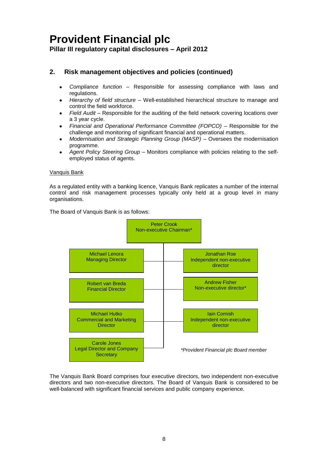**Pillar III regulatory capital disclosures – April 2012**

#### **2. Risk management objectives and policies (continued)**

- *Compliance function* Responsible for assessing compliance with laws and  $\bullet$ regulations.
- *Hierarchy of field structure* Well-established hierarchical structure to manage and  $\bullet$ control the field workforce.
- *Field Audit* Responsible for the auditing of the field network covering locations over a 3 year cycle.
- *Financial and Operational Performance Committee (FOPCO) –* Responsible for the  $\bullet$ challenge and monitoring of significant financial and operational matters.
- *Modernisation and Strategic Planning Group (MASP)*  Oversees the modernisation programme.
- *Agent Policy Steering Group*  Monitors compliance with policies relating to the selfemployed status of agents.

#### Vanquis Bank

As a regulated entity with a banking licence, Vanquis Bank replicates a number of the internal control and risk management processes typically only held at a group level in many organisations.

The Board of Vanquis Bank is as follows:



The Vanquis Bank Board comprises four executive directors, two independent non-executive directors and two non-executive directors. The Board of Vanquis Bank is considered to be well-balanced with significant financial services and public company experience.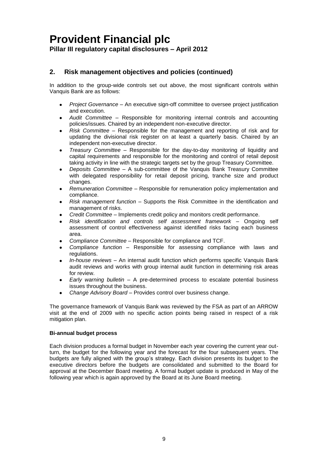#### **2. Risk management objectives and policies (continued)**

In addition to the group-wide controls set out above, the most significant controls within Vanquis Bank are as follows:

- *Project Governance*  An executive sign-off committee to oversee project justification and execution.
- *Audit Committee* Responsible for monitoring internal controls and accounting policies/issues. Chaired by an independent non-executive director.
- *Risk Committee* Responsible for the management and reporting of risk and for updating the divisional risk register on at least a quarterly basis. Chaired by an independent non-executive director.
- *Treasury Committee* Responsible for the day-to-day monitoring of liquidity and capital requirements and responsible for the monitoring and control of retail deposit taking activity in line with the strategic targets set by the group Treasury Committee.
- *Deposits Committee*  A sub-committee of the Vanquis Bank Treasury Committee with delegated responsibility for retail deposit pricing, tranche size and product changes.
- *Remuneration Committee*  Responsible for remuneration policy implementation and compliance.
- *Risk management function*  Supports the Risk Committee in the identification and management of risks.
- *Credit Committee*  Implements credit policy and monitors credit performance.
- *Risk identification and controls self assessment framework*  Ongoing self assessment of control effectiveness against identified risks facing each business area.
- *Compliance Committee*  Responsible for compliance and TCF.
- *Compliance function* Responsible for assessing compliance with laws and regulations.
- *In-house reviews* An internal audit function which performs specific Vanquis Bank audit reviews and works with group internal audit function in determining risk areas for review.
- *Early warning bulletin* A pre-determined process to escalate potential business issues throughout the business.
- *Change Advisory Board*  Provides control over business change.

The governance framework of Vanquis Bank was reviewed by the FSA as part of an ARROW visit at the end of 2009 with no specific action points being raised in respect of a risk mitigation plan.

#### **Bi-annual budget process**

Each division produces a formal budget in November each year covering the current year outturn, the budget for the following year and the forecast for the four subsequent years. The budgets are fully aligned with the group's strategy. Each division presents its budget to the executive directors before the budgets are consolidated and submitted to the Board for approval at the December Board meeting. A formal budget update is produced in May of the following year which is again approved by the Board at its June Board meeting.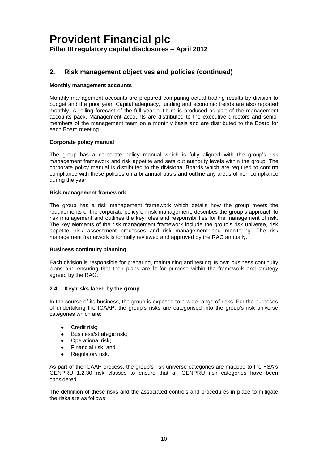#### **2. Risk management objectives and policies (continued)**

#### **Monthly management accounts**

Monthly management accounts are prepared comparing actual trading results by division to budget and the prior year. Capital adequacy, funding and economic trends are also reported monthly. A rolling forecast of the full year out-turn is produced as part of the management accounts pack. Management accounts are distributed to the executive directors and senior members of the management team on a monthly basis and are distributed to the Board for each Board meeting.

#### **Corporate policy manual**

The group has a corporate policy manual which is fully aligned with the group's risk management framework and risk appetite and sets out authority levels within the group. The corporate policy manual is distributed to the divisional Boards which are required to confirm compliance with these policies on a bi-annual basis and outline any areas of non-compliance during the year.

#### **Risk management framework**

The group has a risk management framework which details how the group meets the requirements of the corporate policy on risk management, describes the group's approach to risk management and outlines the key roles and responsibilities for the management of risk. The key elements of the risk management framework include the group's risk universe, risk appetite, risk assessment processes and risk management and monitoring. The risk management framework is formally reviewed and approved by the RAC annually.

#### **Business continuity planning**

Each division is responsible for preparing, maintaining and testing its own business continuity plans and ensuring that their plans are fit for purpose within the framework and strategy agreed by the RAG.

#### **2.4 Key risks faced by the group**

In the course of its business, the group is exposed to a wide range of risks. For the purposes of undertaking the ICAAP, the group's risks are categorised into the group's risk universe categories which are:

- Credit risk;  $\bullet$
- Business/strategic risk;
- Operational risk;  $\bullet$
- $\bullet$ Financial risk; and
- Regulatory risk.

As part of the ICAAP process, the group's risk universe categories are mapped to the FSA's GENPRU 1.2.30 risk classes to ensure that all GENPRU risk categories have been considered.

The definition of these risks and the associated controls and procedures in place to mitigate the risks are as follows: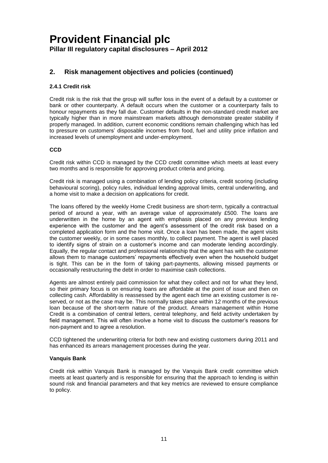#### **2. Risk management objectives and policies (continued)**

#### **2.4.1 Credit risk**

Credit risk is the risk that the group will suffer loss in the event of a default by a customer or bank or other counterparty. A default occurs when the customer or a counterparty fails to honour repayments as they fall due. Customer defaults in the non-standard credit market are typically higher than in more mainstream markets although demonstrate greater stability if properly managed. In addition, current economic conditions remain challenging which has led to pressure on customers' disposable incomes from food, fuel and utility price inflation and increased levels of unemployment and under-employment.

#### **CCD**

Credit risk within CCD is managed by the CCD credit committee which meets at least every two months and is responsible for approving product criteria and pricing.

Credit risk is managed using a combination of lending policy criteria, credit scoring (including behavioural scoring), policy rules, individual lending approval limits, central underwriting, and a home visit to make a decision on applications for credit.

The loans offered by the weekly Home Credit business are short-term, typically a contractual period of around a year, with an average value of approximately £500. The loans are underwritten in the home by an agent with emphasis placed on any previous lending experience with the customer and the agent's assessment of the credit risk based on a completed application form and the home visit. Once a loan has been made, the agent visits the customer weekly, or in some cases monthly, to collect payment. The agent is well placed to identify signs of strain on a customer's income and can moderate lending accordingly. Equally, the regular contact and professional relationship that the agent has with the customer allows them to manage customers' repayments effectively even when the household budget is tight. This can be in the form of taking part-payments, allowing missed payments or occasionally restructuring the debt in order to maximise cash collections.

Agents are almost entirely paid commission for what they collect and not for what they lend, so their primary focus is on ensuring loans are affordable at the point of issue and then on collecting cash. Affordability is reassessed by the agent each time an existing customer is reserved, or not as the case may be. This normally takes place within 12 months of the previous loan because of the short-term nature of the product. Arrears management within Home Credit is a combination of central letters, central telephony, and field activity undertaken by field management. This will often involve a home visit to discuss the customer's reasons for non-payment and to agree a resolution.

CCD tightened the underwriting criteria for both new and existing customers during 2011 and has enhanced its arrears management processes during the year.

#### **Vanquis Bank**

Credit risk within Vanquis Bank is managed by the Vanquis Bank credit committee which meets at least quarterly and is responsible for ensuring that the approach to lending is within sound risk and financial parameters and that key metrics are reviewed to ensure compliance to policy.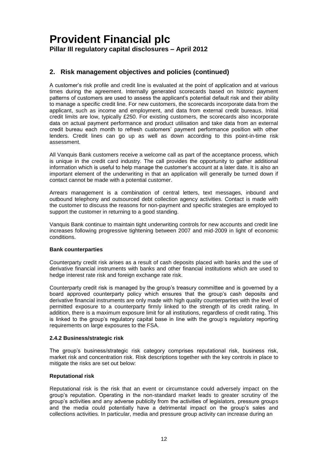#### **2. Risk management objectives and policies (continued)**

A customer's risk profile and credit line is evaluated at the point of application and at various times during the agreement. Internally generated scorecards based on historic payment patterns of customers are used to assess the applicant's potential default risk and their ability to manage a specific credit line. For new customers, the scorecards incorporate data from the applicant, such as income and employment, and data from external credit bureaus. Initial credit limits are low, typically £250. For existing customers, the scorecards also incorporate data on actual payment performance and product utilisation and take data from an external credit bureau each month to refresh customers' payment performance position with other lenders. Credit lines can go up as well as down according to this point-in-time risk assessment.

All Vanquis Bank customers receive a welcome call as part of the acceptance process, which is unique in the credit card industry. The call provides the opportunity to gather additional information which is useful to help manage the customer's account at a later date. It is also an important element of the underwriting in that an application will generally be turned down if contact cannot be made with a potential customer.

Arrears management is a combination of central letters, text messages, inbound and outbound telephony and outsourced debt collection agency activities. Contact is made with the customer to discuss the reasons for non-payment and specific strategies are employed to support the customer in returning to a good standing.

Vanquis Bank continue to maintain tight underwriting controls for new accounts and credit line increases following progressive tightening between 2007 and mid-2009 in light of economic conditions.

#### **Bank counterparties**

Counterparty credit risk arises as a result of cash deposits placed with banks and the use of derivative financial instruments with banks and other financial institutions which are used to hedge interest rate risk and foreign exchange rate risk.

Counterparty credit risk is managed by the group's treasury committee and is governed by a board approved counterparty policy which ensures that the group's cash deposits and derivative financial instruments are only made with high quality counterparties with the level of permitted exposure to a counterparty firmly linked to the strength of its credit rating. In addition, there is a maximum exposure limit for all institutions, regardless of credit rating. This is linked to the group's regulatory capital base in line with the group's regulatory reporting requirements on large exposures to the FSA.

#### **2.4.2 Business/strategic risk**

The group's business/strategic risk category comprises reputational risk, business risk, market risk and concentration risk. Risk descriptions together with the key controls in place to mitigate the risks are set out below:

#### **Reputational risk**

Reputational risk is the risk that an event or circumstance could adversely impact on the group's reputation. Operating in the non-standard market leads to greater scrutiny of the group's activities and any adverse publicity from the activities of legislators, pressure groups and the media could potentially have a detrimental impact on the group's sales and collections activities. In particular, media and pressure group activity can increase during an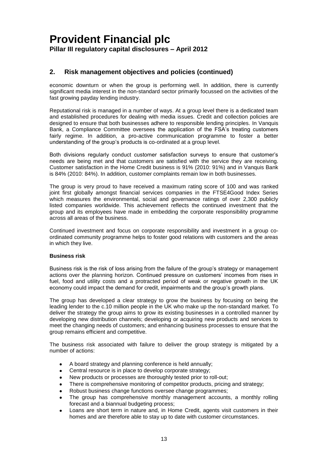economic downturn or when the group is performing well. In addition, there is currently significant media interest in the non-standard sector primarily focussed on the activities of the fast growing payday lending industry.

Reputational risk is managed in a number of ways. At a group level there is a dedicated team and established procedures for dealing with media issues. Credit and collection policies are designed to ensure that both businesses adhere to responsible lending principles. In Vanquis Bank, a Compliance Committee oversees the application of the FSA's treating customers fairly regime. In addition, a pro-active communication programme to foster a better understanding of the group's products is co-ordinated at a group level.

Both divisions regularly conduct customer satisfaction surveys to ensure that customer's needs are being met and that customers are satisfied with the service they are receiving. Customer satisfaction in the Home Credit business is 91% (2010: 91%) and in Vanquis Bank is 84% (2010: 84%). In addition, customer complaints remain low in both businesses.

The group is very proud to have received a maximum rating score of 100 and was ranked joint first globally amongst financial services companies in the FTSE4Good Index Series which measures the environmental, social and governance ratings of over 2,300 publicly listed companies worldwide. This achievement reflects the continued investment that the group and its employees have made in embedding the corporate responsibility programme across all areas of the business.

Continued investment and focus on corporate responsibility and investment in a group coordinated community programme helps to foster good relations with customers and the areas in which they live.

#### **Business risk**

Business risk is the risk of loss arising from the failure of the group's strategy or management actions over the planning horizon. Continued pressure on customers' incomes from rises in fuel, food and utility costs and a protracted period of weak or negative growth in the UK economy could impact the demand for credit, impairments and the group's growth plans.

The group has developed a clear strategy to grow the business by focusing on being the leading lender to the c.10 million people in the UK who make up the non-standard market. To deliver the strategy the group aims to grow its existing businesses in a controlled manner by developing new distribution channels; developing or acquiring new products and services to meet the changing needs of customers; and enhancing business processes to ensure that the group remains efficient and competitive.

The business risk associated with failure to deliver the group strategy is mitigated by a number of actions:

- A board strategy and planning conference is held annually;
- Central resource is in place to develop corporate strategy;
- New products or processes are thoroughly tested prior to roll-out;
- There is comprehensive monitoring of competitor products, pricing and strategy;
- Robust business change functions oversee change programmes;
- The group has comprehensive monthly management accounts, a monthly rolling forecast and a biannual budgeting process;
- Loans are short term in nature and, in Home Credit, agents visit customers in their homes and are therefore able to stay up to date with customer circumstances.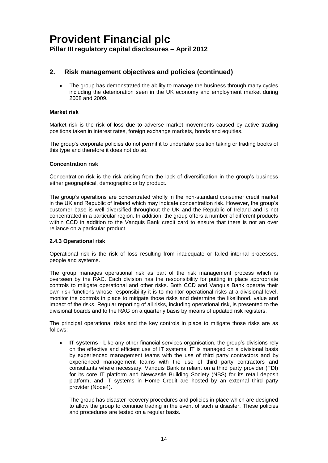The group has demonstrated the ability to manage the business through many cycles  $\bullet$ including the deterioration seen in the UK economy and employment market during 2008 and 2009.

#### **Market risk**

Market risk is the risk of loss due to adverse market movements caused by active trading positions taken in interest rates, foreign exchange markets, bonds and equities.

The group's corporate policies do not permit it to undertake position taking or trading books of this type and therefore it does not do so.

#### **Concentration risk**

Concentration risk is the risk arising from the lack of diversification in the group's business either geographical, demographic or by product.

The group's operations are concentrated wholly in the non-standard consumer credit market in the UK and Republic of Ireland which may indicate concentration risk. However, the group's customer base is well diversified throughout the UK and the Republic of Ireland and is not concentrated in a particular region. In addition, the group offers a number of different products within CCD in addition to the Vanquis Bank credit card to ensure that there is not an over reliance on a particular product.

#### **2.4.3 Operational risk**

Operational risk is the risk of loss resulting from inadequate or failed internal processes, people and systems.

The group manages operational risk as part of the risk management process which is overseen by the RAC. Each division has the responsibility for putting in place appropriate controls to mitigate operational and other risks. Both CCD and Vanquis Bank operate their own risk functions whose responsibility it is to monitor operational risks at a divisional level, monitor the controls in place to mitigate those risks and determine the likelihood, value and impact of the risks. Regular reporting of all risks, including operational risk, is presented to the divisional boards and to the RAG on a quarterly basis by means of updated risk registers.

The principal operational risks and the key controls in place to mitigate those risks are as follows:

**IT systems** - Like any other financial services organisation, the group's divisions rely  $\bullet$ on the effective and efficient use of IT systems. IT is managed on a divisional basis by experienced management teams with the use of third party contractors and by experienced management teams with the use of third party contractors and consultants where necessary. Vanquis Bank is reliant on a third party provider (FDI) for its core IT platform and Newcastle Building Society (NBS) for its retail deposit platform, and IT systems in Home Credit are hosted by an external third party provider (Node4).

The group has disaster recovery procedures and policies in place which are designed to allow the group to continue trading in the event of such a disaster. These policies and procedures are tested on a regular basis.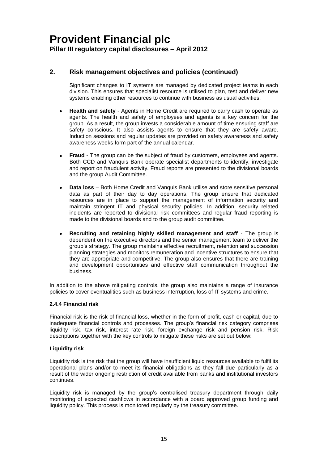Significant changes to IT systems are managed by dedicated project teams in each division. This ensures that specialist resource is utilised to plan, test and deliver new systems enabling other resources to continue with business as usual activities.

- **Health and safety**  Agents in Home Credit are required to carry cash to operate as agents. The health and safety of employees and agents is a key concern for the group. As a result, the group invests a considerable amount of time ensuring staff are safety conscious. It also assists agents to ensure that they are safety aware. Induction sessions and regular updates are provided on safety awareness and safety awareness weeks form part of the annual calendar.
- **Fraud**  The group can be the subject of fraud by customers, employees and agents. Both CCD and Vanquis Bank operate specialist departments to identify, investigate and report on fraudulent activity. Fraud reports are presented to the divisional boards and the group Audit Committee.
- **Data loss** Both Home Credit and Vanquis Bank utilise and store sensitive personal data as part of their day to day operations. The group ensure that dedicated resources are in place to support the management of information security and maintain stringent IT and physical security policies. In addition, security related incidents are reported to divisional risk committees and regular fraud reporting is made to the divisional boards and to the group audit committee.
- **Recruiting and retaining highly skilled management and staff** The group is dependent on the executive directors and the senior management team to deliver the group's strategy. The group maintains effective recruitment, retention and succession planning strategies and monitors remuneration and incentive structures to ensure that they are appropriate and competitive. The group also ensures that there are training and development opportunities and effective staff communication throughout the business.

In addition to the above mitigating controls, the group also maintains a range of insurance policies to cover eventualities such as business interruption, loss of IT systems and crime.

#### **2.4.4 Financial risk**

Financial risk is the risk of financial loss, whether in the form of profit, cash or capital, due to inadequate financial controls and processes. The group's financial risk category comprises liquidity risk, tax risk, interest rate risk, foreign exchange risk and pension risk. Risk descriptions together with the key controls to mitigate these risks are set out below:

#### **Liquidity risk**

Liquidity risk is the risk that the group will have insufficient liquid resources available to fulfil its operational plans and/or to meet its financial obligations as they fall due particularly as a result of the wider ongoing restriction of credit available from banks and institutional investors continues.

Liquidity risk is managed by the group's centralised treasury department through daily monitoring of expected cashflows in accordance with a board approved group funding and liquidity policy. This process is monitored regularly by the treasury committee.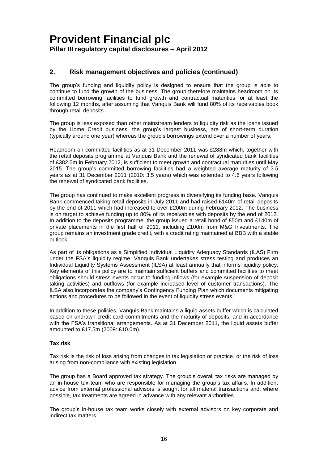The group's funding and liquidity policy is designed to ensure that the group is able to continue to fund the growth of the business. The group therefore maintains headroom on its committed borrowing facilities to fund growth and contractual maturities for at least the following 12 months, after assuming that Vanquis Bank will fund 80% of its receivables book through retail deposits.

The group is less exposed than other mainstream lenders to liquidity risk as the loans issued by the Home Credit business, the group's largest business, are of short-term duration (typically around one year) whereas the group's borrowings extend over a number of years.

Headroom on committed facilities as at 31 December 2011 was £288m which, together with the retail deposits programme at Vanquis Bank and the renewal of syndicated bank facilities of £382.5m in February 2012, is sufficient to meet growth and contractual maturities until May 2015. The group's committed borrowing facilities had a weighted average maturity of 3.5 years as at 31 December 2011 (2010: 3.5 years) which was extended to 4.6 years following the renewal of syndicated bank facilities.

The group has continued to make excellent progress in diversifying its funding base. Vanquis Bank commenced taking retail deposits in July 2011 and had raised £140m of retail deposits by the end of 2011 which had increased to over £200m during February 2012. The business is on target to achieve funding up to 80% of its receivables with deposits by the end of 2012. In addition to the deposits programme, the group issued a retail bond of £50m and £140m of private placements in the first half of 2011, including £100m from M&G Investments. The group remains an investment grade credit, with a credit rating maintained at BBB with a stable outlook.

As part of its obligations as a Simplified Individual Liquidity Adequacy Standards (ILAS) Firm under the FSA's liquidity regime, Vanquis Bank undertakes stress testing and produces an Individual Liquidity Systems Assessment (ILSA) at least annually that informs liquidity policy. Key elements of this policy are to maintain sufficient buffers and committed facilities to meet obligations should stress events occur to funding inflows (for example suspension of deposit taking activities) and outflows (for example increased level of customer transactions). The ILSA also incorporates the company's Contingency Funding Plan which documents mitigating actions and procedures to be followed in the event of liquidity stress events.

In addition to these policies, Vanquis Bank maintains a liquid assets buffer which is calculated based on undrawn credit card commitments and the maturity of deposits, and in accordance with the FSA's transitional arrangements. As at 31 December 2011, the liquid assets buffer amounted to £17.5m (2009: £10.0m).

#### **Tax risk**

Tax risk is the risk of loss arising from changes in tax legislation or practice, or the risk of loss arising from non-compliance with existing legislation.

The group has a Board approved tax strategy. The group's overall tax risks are managed by an in-house tax team who are responsible for managing the group's tax affairs. In addition, advice from external professional advisors is sought for all material transactions and, where possible, tax treatments are agreed in advance with any relevant authorities.

The group's in-house tax team works closely with external advisors on key corporate and indirect tax matters.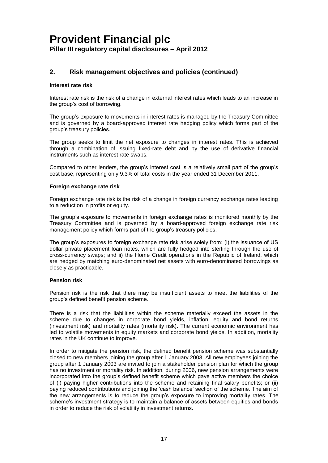#### **2. Risk management objectives and policies (continued)**

#### **Interest rate risk**

Interest rate risk is the risk of a change in external interest rates which leads to an increase in the group's cost of borrowing.

The group's exposure to movements in interest rates is managed by the Treasury Committee and is governed by a board-approved interest rate hedging policy which forms part of the group's treasury policies.

The group seeks to limit the net exposure to changes in interest rates. This is achieved through a combination of issuing fixed-rate debt and by the use of derivative financial instruments such as interest rate swaps.

Compared to other lenders, the group's interest cost is a relatively small part of the group's cost base, representing only 9.3% of total costs in the year ended 31 December 2011.

#### **Foreign exchange rate risk**

Foreign exchange rate risk is the risk of a change in foreign currency exchange rates leading to a reduction in profits or equity.

The group's exposure to movements in foreign exchange rates is monitored monthly by the Treasury Committee and is governed by a board-approved foreign exchange rate risk management policy which forms part of the group's treasury policies.

The group's exposures to foreign exchange rate risk arise solely from: (i) the issuance of US dollar private placement loan notes, which are fully hedged into sterling through the use of cross-currency swaps; and ii) the Home Credit operations in the Republic of Ireland, which are hedged by matching euro-denominated net assets with euro-denominated borrowings as closely as practicable.

#### **Pension risk**

Pension risk is the risk that there may be insufficient assets to meet the liabilities of the group's defined benefit pension scheme.

There is a risk that the liabilities within the scheme materially exceed the assets in the scheme due to changes in corporate bond yields, inflation, equity and bond returns (investment risk) and mortality rates (mortality risk). The current economic environment has led to volatile movements in equity markets and corporate bond yields. In addition, mortality rates in the UK continue to improve.

In order to mitigate the pension risk, the defined benefit pension scheme was substantially closed to new members joining the group after 1 January 2003. All new employees joining the group after 1 January 2003 are invited to join a stakeholder pension plan for which the group has no investment or mortality risk. In addition, during 2006, new pension arrangements were incorporated into the group's defined benefit scheme which gave active members the choice of (i) paying higher contributions into the scheme and retaining final salary benefits; or (ii) paying reduced contributions and joining the 'cash balance' section of the scheme. The aim of the new arrangements is to reduce the group's exposure to improving mortality rates. The scheme's investment strategy is to maintain a balance of assets between equities and bonds in order to reduce the risk of volatility in investment returns.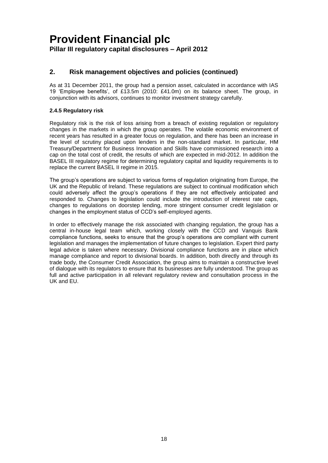#### **2. Risk management objectives and policies (continued)**

As at 31 December 2011, the group had a pension asset, calculated in accordance with IAS 19 'Employee benefits', of £13.5m (2010: £41.0m) on its balance sheet. The group, in conjunction with its advisors, continues to monitor investment strategy carefully.

#### **2.4.5 Regulatory risk**

Regulatory risk is the risk of loss arising from a breach of existing regulation or regulatory changes in the markets in which the group operates. The volatile economic environment of recent years has resulted in a greater focus on regulation, and there has been an increase in the level of scrutiny placed upon lenders in the non-standard market. In particular, HM Treasury/Department for Business Innovation and Skills have commissioned research into a cap on the total cost of credit, the results of which are expected in mid-2012. In addition the BASEL III regulatory regime for determining regulatory capital and liquidity requirements is to replace the current BASEL II regime in 2015.

The group's operations are subject to various forms of regulation originating from Europe, the UK and the Republic of Ireland. These regulations are subject to continual modification which could adversely affect the group's operations if they are not effectively anticipated and responded to. Changes to legislation could include the introduction of interest rate caps, changes to regulations on doorstep lending, more stringent consumer credit legislation or changes in the employment status of CCD's self-employed agents.

In order to effectively manage the risk associated with changing regulation, the group has a central in-house legal team which, working closely with the CCD and Vanquis Bank compliance functions, seeks to ensure that the group's operations are compliant with current legislation and manages the implementation of future changes to legislation. Expert third party legal advice is taken where necessary. Divisional compliance functions are in place which manage compliance and report to divisional boards. In addition, both directly and through its trade body, the Consumer Credit Association, the group aims to maintain a constructive level of dialogue with its regulators to ensure that its businesses are fully understood. The group as full and active participation in all relevant regulatory review and consultation process in the UK and EU.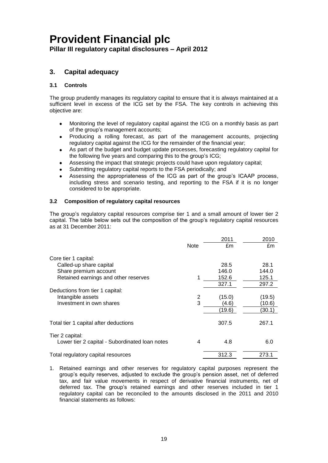**Pillar III regulatory capital disclosures – April 2012**

#### **3. Capital adequacy**

#### **3.1 Controls**

The group prudently manages its regulatory capital to ensure that it is always maintained at a sufficient level in excess of the ICG set by the FSA. The key controls in achieving this objective are:

- Monitoring the level of regulatory capital against the ICG on a monthly basis as part of the group's management accounts;
- Producing a rolling forecast, as part of the management accounts, projecting  $\bullet$ regulatory capital against the ICG for the remainder of the financial year;
- As part of the budget and budget update processes, forecasting regulatory capital for the following five years and comparing this to the group's ICG;
- Assessing the impact that strategic projects could have upon regulatory capital;
- Submitting regulatory capital reports to the FSA periodically; and
- Assessing the appropriateness of the ICG as part of the group's ICAAP process, including stress and scenario testing, and reporting to the FSA if it is no longer considered to be appropriate.

#### **3.2 Composition of regulatory capital resources**

The group's regulatory capital resources comprise tier 1 and a small amount of lower tier 2 capital. The table below sets out the composition of the group's regulatory capital resources as at 31 December 2011:

|                                                |             | 2011   | 2010   |
|------------------------------------------------|-------------|--------|--------|
|                                                | <b>Note</b> | £m     | £m     |
| Core tier 1 capital:                           |             |        |        |
| Called-up share capital                        |             | 28.5   | 28.1   |
| Share premium account                          |             | 146.0  | 144.0  |
| Retained earnings and other reserves           |             | 152.6  | 125.1  |
|                                                |             | 327.1  | 297.2  |
| Deductions from tier 1 capital:                |             |        |        |
| Intangible assets                              | 2           | (15.0) | (19.5) |
| Investment in own shares                       | 3           | (4.6)  | (10.6) |
|                                                |             | (19.6) | (30.1) |
| Total tier 1 capital after deductions          |             | 307.5  | 267.1  |
| Tier 2 capital:                                |             |        |        |
| Lower tier 2 capital - Subordinated Ioan notes | 4           | 4.8    | 6.0    |
| Total regulatory capital resources             |             | 312.3  | 273.1  |

1. Retained earnings and other reserves for regulatory capital purposes represent the group's equity reserves, adjusted to exclude the group's pension asset, net of deferred tax, and fair value movements in respect of derivative financial instruments, net of deferred tax. The group's retained earnings and other reserves included in tier 1 regulatory capital can be reconciled to the amounts disclosed in the 2011 and 2010 financial statements as follows: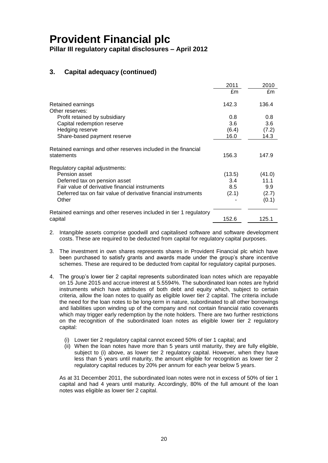**Pillar III regulatory capital disclosures – April 2012**

#### **3. Capital adequacy (continued)**

|                                                                    | 2011   | 2010   |
|--------------------------------------------------------------------|--------|--------|
|                                                                    | £m     | £m     |
| Retained earnings                                                  | 142.3  | 136.4  |
| Other reserves:                                                    |        |        |
| Profit retained by subsidiary                                      | 0.8    | 0.8    |
| Capital redemption reserve                                         | 3.6    | 3.6    |
| Hedging reserve                                                    | (6.4)  | (7.2)  |
| Share-based payment reserve                                        | 16.0   | 14.3   |
| Retained earnings and other reserves included in the financial     |        |        |
| statements                                                         | 156.3  | 147.9  |
| Regulatory capital adjustments:                                    |        |        |
| Pension asset                                                      | (13.5) | (41.0) |
| Deferred tax on pension asset                                      | 3.4    | 11.1   |
| Fair value of derivative financial instruments                     | 8.5    | 9.9    |
| Deferred tax on fair value of derivative financial instruments     | (2.1)  | (2.7)  |
| Other                                                              |        | (0.1)  |
| Retained earnings and other reserves included in tier 1 regulatory |        |        |
| capital                                                            | 152.6  | 125.1  |

- 2. Intangible assets comprise goodwill and capitalised software and software development costs. These are required to be deducted from capital for regulatory capital purposes.
- 3. The investment in own shares represents shares in Provident Financial plc which have been purchased to satisfy grants and awards made under the group's share incentive schemes. These are required to be deducted from capital for regulatory capital purposes.
- 4. The group's lower tier 2 capital represents subordinated loan notes which are repayable on 15 June 2015 and accrue interest at 5.5594%. The subordinated loan notes are hybrid instruments which have attributes of both debt and equity which, subject to certain criteria, allow the loan notes to qualify as eligible lower tier 2 capital. The criteria include the need for the loan notes to be long-term in nature, subordinated to all other borrowings and liabilities upon winding up of the company and not contain financial ratio covenants which may trigger early redemption by the note holders. There are two further restrictions on the recognition of the subordinated loan notes as eligible lower tier 2 regulatory capital:
	- (i) Lower tier 2 regulatory capital cannot exceed 50% of tier 1 capital; and
	- (ii) When the loan notes have more than 5 years until maturity, they are fully eligible, subject to (i) above, as lower tier 2 regulatory capital. However, when they have less than 5 years until maturity, the amount eligible for recognition as lower tier 2 regulatory capital reduces by 20% per annum for each year below 5 years.

As at 31 December 2011, the subordinated loan notes were not in excess of 50% of tier 1 capital and had 4 years until maturity. Accordingly, 80% of the full amount of the loan notes was eligible as lower tier 2 capital.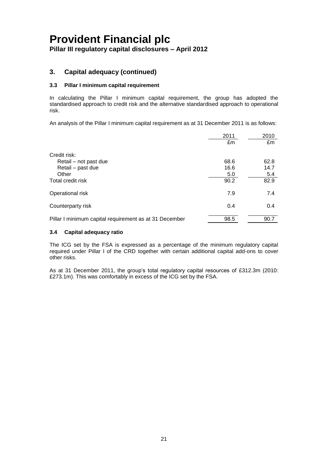**Pillar III regulatory capital disclosures – April 2012**

#### **3. Capital adequacy (continued)**

#### **3.3 Pillar I minimum capital requirement**

In calculating the Pillar I minimum capital requirement, the group has adopted the standardised approach to credit risk and the alternative standardised approach to operational risk.

An analysis of the Pillar I minimum capital requirement as at 31 December 2011 is as follows:

|                                                        | 2011 | 2010 |
|--------------------------------------------------------|------|------|
|                                                        | £m   | £m   |
| Credit risk:                                           |      |      |
| Retail – not past due                                  | 68.6 | 62.8 |
| Retail - past due                                      | 16.6 | 14.7 |
| Other                                                  | 5.0  | 5.4  |
| Total credit risk                                      | 90.2 | 82.9 |
| Operational risk                                       | 7.9  | 7.4  |
| Counterparty risk                                      | 0.4  | 0.4  |
| Pillar I minimum capital requirement as at 31 December | 98.5 | 90.7 |

#### **3.4 Capital adequacy ratio**

The ICG set by the FSA is expressed as a percentage of the minimum regulatory capital required under Pillar I of the CRD together with certain additional capital add-ons to cover other risks.

As at 31 December 2011, the group's total regulatory capital resources of £312.3m (2010: £273.1m). This was comfortably in excess of the ICG set by the FSA.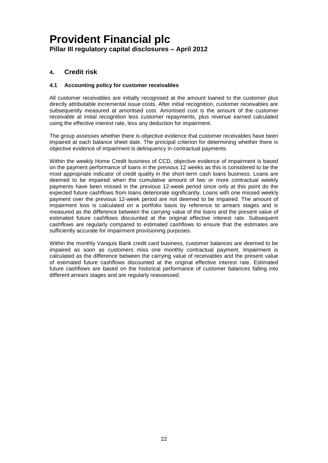#### **4. Credit risk**

#### **4.1 Accounting policy for customer receivables**

All customer receivables are initially recognised at the amount loaned to the customer plus directly attributable incremental issue costs. After initial recognition, customer receivables are subsequently measured at amortised cost. Amortised cost is the amount of the customer receivable at initial recognition less customer repayments, plus revenue earned calculated using the effective interest rate, less any deduction for impairment.

The group assesses whether there is objective evidence that customer receivables have been impaired at each balance sheet date. The principal criterion for determining whether there is objective evidence of impairment is delinquency in contractual payments.

Within the weekly Home Credit business of CCD, objective evidence of impairment is based on the payment performance of loans in the previous 12 weeks as this is considered to be the most appropriate indicator of credit quality in the short-term cash loans business. Loans are deemed to be impaired when the cumulative amount of two or more contractual weekly payments have been missed in the previous 12-week period since only at this point do the expected future cashflows from loans deteriorate significantly. Loans with one missed weekly payment over the previous 12-week period are not deemed to be impaired. The amount of impairment loss is calculated on a portfolio basis by reference to arrears stages and is measured as the difference between the carrying value of the loans and the present value of estimated future cashflows discounted at the original effective interest rate. Subsequent cashflows are regularly compared to estimated cashflows to ensure that the estimates are sufficiently accurate for impairment provisioning purposes.

Within the monthly Vanquis Bank credit card business, customer balances are deemed to be impaired as soon as customers miss one monthly contractual payment. Impairment is calculated as the difference between the carrying value of receivables and the present value of estimated future cashflows discounted at the original effective interest rate. Estimated future cashflows are based on the historical performance of customer balances falling into different arrears stages and are regularly reassessed.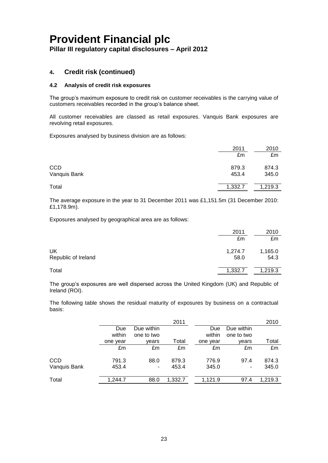#### **4. Credit risk (continued)**

#### **4.2 Analysis of credit risk exposures**

The group's maximum exposure to credit risk on customer receivables is the carrying value of customers receivables recorded in the group's balance sheet.

All customer receivables are classed as retail exposures. Vanquis Bank exposures are revolving retail exposures.

Exposures analysed by business division are as follows:

|                            | 2011<br>£m     | 2010<br>£m     |
|----------------------------|----------------|----------------|
| <b>CCD</b><br>Vanquis Bank | 879.3<br>453.4 | 874.3<br>345.0 |
| Total                      | 1,332.7        | 1,219.3        |

The average exposure in the year to 31 December 2011 was £1,151.5m (31 December 2010: £1,178.9m).

Exposures analysed by geographical area are as follows:

|                           | 2011            | 2010            |
|---------------------------|-----------------|-----------------|
|                           | £m              | £m              |
| UK<br>Republic of Ireland | 1,274.7<br>58.0 | 1,165.0<br>54.3 |
| Total                     | 1,332.7         | 1,219.3         |

The group's exposures are well dispersed across the United Kingdom (UK) and Republic of Ireland (ROI).

The following table shows the residual maturity of exposures by business on a contractual basis:

|              |          |            | 2011    |          |            | 2010    |
|--------------|----------|------------|---------|----------|------------|---------|
|              | Due      | Due within |         | Due      | Due within |         |
|              | within   | one to two |         | within   | one to two |         |
|              | one year | vears      | Total   | one year | vears      | Total   |
|              | £m       | £m         | £m      | £m       | £m         | £m      |
| <b>CCD</b>   | 791.3    | 88.0       | 879.3   | 776.9    | 97.4       | 874.3   |
| Vanquis Bank | 453.4    | ۰          | 453.4   | 345.0    | ۰          | 345.0   |
| Total        | 1,244.7  | 88.0       | 1,332.7 | 1,121.9  | 97.4       | 1,219.3 |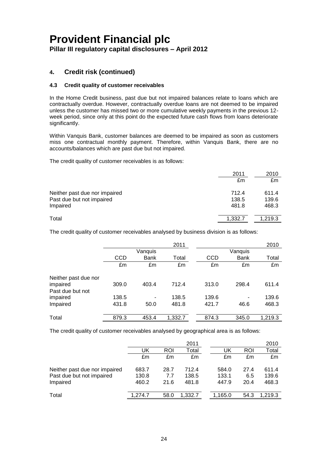### **4. Credit risk (continued)**

#### **4.3 Credit quality of customer receivables**

In the Home Credit business, past due but not impaired balances relate to loans which are contractually overdue. However, contractually overdue loans are not deemed to be impaired unless the customer has missed two or more cumulative weekly payments in the previous 12 week period, since only at this point do the expected future cash flows from loans deteriorate significantly.

Within Vanquis Bank, customer balances are deemed to be impaired as soon as customers miss one contractual monthly payment. Therefore, within Vanquis Bank, there are no accounts/balances which are past due but not impaired.

The credit quality of customer receivables is as follows:

|                                                                        | 2011<br>£m              | 2010<br>£m              |
|------------------------------------------------------------------------|-------------------------|-------------------------|
| Neither past due nor impaired<br>Past due but not impaired<br>Impaired | 712.4<br>138.5<br>481.8 | 611.4<br>139.6<br>468.3 |
| Total                                                                  | 1,332.7                 | 1.219.3                 |

The credit quality of customer receivables analysed by business division is as follows:

|                      |            |             | 2011    |       |             | 2010    |
|----------------------|------------|-------------|---------|-------|-------------|---------|
|                      |            | Vanquis     |         |       | Vanquis     |         |
|                      | <b>CCD</b> | <b>Bank</b> | Total   | CCD   | <b>Bank</b> | Total   |
|                      | £m         | £m          | £m      | £m    | £m          | £m      |
| Neither past due nor |            |             |         |       |             |         |
| impaired             | 309.0      | 403.4       | 712.4   | 313.0 | 298.4       | 611.4   |
| Past due but not     |            |             |         |       |             |         |
| impaired             | 138.5      |             | 138.5   | 139.6 |             | 139.6   |
| Impaired             | 431.8      | 50.0        | 481.8   | 421.7 | 46.6        | 468.3   |
| Total                | 879.3      | 453.4       | 1,332.7 | 874.3 | 345.0       | 1,219.3 |

The credit quality of customer receivables analysed by geographical area is as follows:

|                               |         |      | 2011    |         |      | 2010    |
|-------------------------------|---------|------|---------|---------|------|---------|
|                               | UK      | ROI  | Total   | UK      | ROI  | Total   |
|                               | £m      | £m   | £m      | £m      | £m   | £m      |
| Neither past due nor impaired | 683.7   | 28.7 | 712.4   | 584.0   | 27.4 | 611.4   |
| Past due but not impaired     | 130.8   | 7.7  | 138.5   | 133.1   | 6.5  | 139.6   |
| Impaired                      | 460.2   | 21.6 | 481.8   | 447.9   | 20.4 | 468.3   |
| Total                         | 1.274.7 | 58.0 | 1,332.7 | 1,165.0 | 54.3 | 1,219.3 |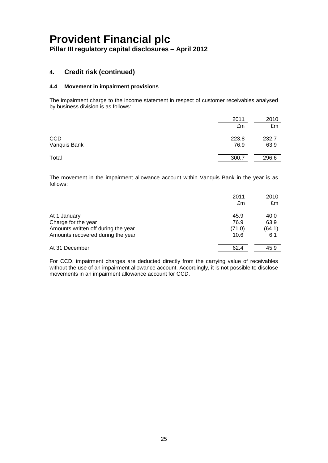**Pillar III regulatory capital disclosures – April 2012**

#### **4. Credit risk (continued)**

#### **4.4 Movement in impairment provisions**

The impairment charge to the income statement in respect of customer receivables analysed by business division is as follows:

|                            | 2011          | 2010          |
|----------------------------|---------------|---------------|
|                            | £m            | £m            |
| <b>CCD</b><br>Vanquis Bank | 223.8<br>76.9 | 232.7<br>63.9 |
| Total                      | 300.7         | 296.6         |

The movement in the impairment allowance account within Vanquis Bank in the year is as follows:

|                                     | 2011   | 2010   |
|-------------------------------------|--------|--------|
|                                     | £m     | £m     |
| At 1 January                        | 45.9   | 40.0   |
| Charge for the year                 | 76.9   | 63.9   |
| Amounts written off during the year | (71.0) | (64.1) |
| Amounts recovered during the year   | 10.6   | 6.1    |
| At 31 December                      | 62.4   | 45.9   |

For CCD, impairment charges are deducted directly from the carrying value of receivables without the use of an impairment allowance account. Accordingly, it is not possible to disclose movements in an impairment allowance account for CCD.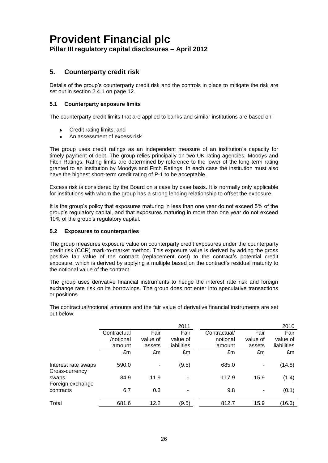#### **Pillar III regulatory capital disclosures – April 2012**

#### **5. Counterparty credit risk**

Details of the group's counterparty credit risk and the controls in place to mitigate the risk are set out in section 2.4.1 on page 12.

#### **5.1 Counterparty exposure limits**

The counterparty credit limits that are applied to banks and similar institutions are based on:

- Credit rating limits; and
- An assessment of excess risk.

The group uses credit ratings as an independent measure of an institution's capacity for timely payment of debt. The group relies principally on two UK rating agencies; Moodys and Fitch Ratings. Rating limits are determined by reference to the lower of the long-term rating granted to an institution by Moodys and Fitch Ratings. In each case the institution must also have the highest short-term credit rating of P-1 to be acceptable.

Excess risk is considered by the Board on a case by case basis. It is normally only applicable for institutions with whom the group has a strong lending relationship to offset the exposure.

It is the group's policy that exposures maturing in less than one year do not exceed 5% of the group's regulatory capital, and that exposures maturing in more than one year do not exceed 10% of the group's regulatory capital.

#### **5.2 Exposures to counterparties**

The group measures exposure value on counterparty credit exposures under the counterparty credit risk (CCR) mark-to-market method. This exposure value is derived by adding the gross positive fair value of the contract (replacement cost) to the contract's potential credit exposure, which is derived by applying a multiple based on the contract's residual maturity to the notional value of the contract.

The group uses derivative financial instruments to hedge the interest rate risk and foreign exchange rate risk on its borrowings. The group does not enter into speculative transactions or positions.

|                                       |             |          | 2011        |              |          | 2010        |
|---------------------------------------|-------------|----------|-------------|--------------|----------|-------------|
|                                       | Contractual | Fair     | Fair        | Contractual/ | Fair     | Fair        |
|                                       | /notional   | value of | value of    | notional     | value of | value of    |
|                                       | amount      | assets   | liabilities | amount       | assets   | liabilities |
|                                       | £m          | £m       | £m          | £m           | £m       | £m          |
| Interest rate swaps<br>Cross-currency | 590.0       | ٠        | (9.5)       | 685.0        | ۰        | (14.8)      |
| swaps<br>Foreign exchange             | 84.9        | 11.9     |             | 117.9        | 15.9     | (1.4)       |
| contracts                             | 6.7         | 0.3      |             | 9.8          | -        | (0.1)       |
| Total                                 | 681.6       | 12.2     | (9.5)       | 812.7        | 15.9     | (16.3)      |

The contractual/notional amounts and the fair value of derivative financial instruments are set out below: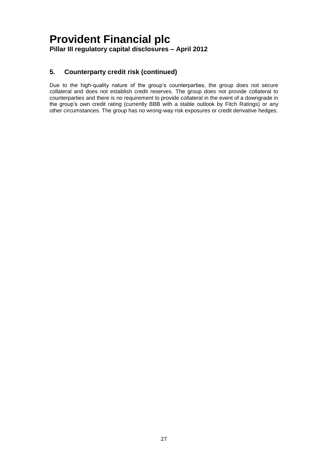#### **5. Counterparty credit risk (continued)**

Due to the high-quality nature of the group's counterparties, the group does not secure collateral and does not establish credit reserves. The group does not provide collateral to counterparties and there is no requirement to provide collateral in the event of a downgrade in the group's own credit rating (currently BBB with a stable outlook by Fitch Ratings) or any other circumstances. The group has no wrong-way risk exposures or credit derivative hedges.